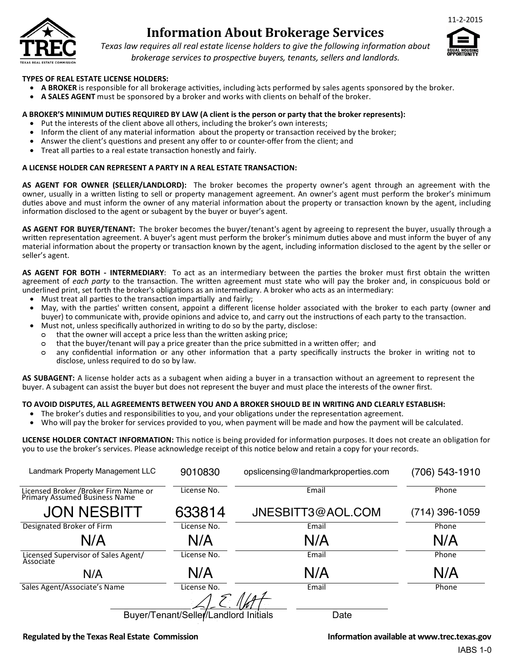

### **Information About Brokerage Services**



*Texas law requires all real estate license holders to give the following informaton about brokerage services to prospectve buyers, tenants, sellers and landlords.*

#### **TYPES OF REAL ESTATE LICENSE HOLDERS:**

- **A BROKER** is responsible for all brokerage activities, including acts performed by sales agents sponsored by the broker.
- x **A SALES AGENT** must be sponsored by a broker and works with clients on behalf of the broker.

#### **A BROKER'S MINIMUM DUTIES REQUIRED BY LAW (A client is the person or party that the broker represents):**

- Put the interests of the client above all others, including the broker's own interests;
- Inform the client of any material information about the property or transaction received by the broker;
- Answer the client's questions and present any offer to or counter-offer from the client; and
- Treat all parties to a real estate transaction honestly and fairly.

#### **A LICENSE HOLDER CAN REPRESENT A PARTY IN A REAL ESTATE TRANSACTION:**

**AS AGENT FOR OWNER (SELLER/LANDLORD):** The broker becomes the property owner's agent through an agreement with the owner, usually in a writen listng to sell or property management agreement. An owner's agent must perform the broker's minimum duties above and must inform the owner of any material information about the property or transaction known by the agent, including information disclosed to the agent or subagent by the buyer or buyer's agent.

**AS AGENT FOR BUYER/TENANT:** The broker becomes the buyer/tenant's agent by agreeing to represent the buyer, usually through a written representation agreement. A buyer's agent must perform the broker's minimum duties above and must inform the buyer of any material information about the property or transaction known by the agent, including information disclosed to the agent by the seller or seller's agent.

AS AGENT FOR BOTH - INTERMEDIARY: To act as an intermediary between the parties the broker must first obtain the written agreement of each party to the transaction. The written agreement must state who will pay the broker and, in conspicuous bold or underlined print, set forth the broker's obligations as an intermediary. A broker who acts as an intermediary:

- Must treat all parties to the transaction impartially and fairly;
- May, with the parties' written consent, appoint a different license holder associated with the broker to each party (owner and buyer) to communicate with, provide opinions and advice to, and carry out the instructions of each party to the transaction.
- Must not, unless specifically authorized in writing to do so by the party, disclose:
	- ᴑ that the owner will accept a price less than the writen asking price;
	- ᴑ that the buyer/tenant will pay a price greater than the price submited in a writen ofer; and
	- ᴑ any confdental informaton or any other informaton that a party specifcally instructs the broker in writng not to disclose, unless required to do so by law.

**AS SUBAGENT:** A license holder acts as a subagent when aiding a buyer in a transacton without an agreement to represent the buyer. A subagent can assist the buyer but does not represent the buyer and must place the interests of the owner frst.

#### **TO AVOID DISPUTES, ALL AGREEMENTS BETWEEN YOU AND A BROKER SHOULD BE IN WRITING AND CLEARLY ESTABLISH:**

- The broker's duties and responsibilities to you, and your obligations under the representation agreement.
- Who will pay the broker for services provided to you, when payment will be made and how the payment will be calculated.

LICENSE HOLDER CONTACT INFORMATION: This notice is being provided for information purposes. It does not create an obligation for you to use the broker's services. Please acknowledge receipt of this notice below and retain a copy for your records.

| Landmark Property Management LLC                                       | 9010830     | opslicensing@landmarkproperties.com | (706) 543-1910 |
|------------------------------------------------------------------------|-------------|-------------------------------------|----------------|
| Licensed Broker / Broker Firm Name or<br>Primary Assumed Business Name | License No. | Email                               | Phone          |
| <b>JON NESBITT</b>                                                     | 633814      | JNESBITT3@AOL.COM                   | (714) 396-1059 |
| Designated Broker of Firm                                              | License No. | Email                               | Phone          |
| N/A                                                                    | N/A         | N/A                                 | N/A            |
| Licensed Supervisor of Sales Agent/<br>Associate                       | License No. | Email                               | Phone          |
| N/A                                                                    | N/A         | N/A                                 | N/A            |
| Sales Agent/Associate's Name                                           | License No. | Email                               | Phone          |
|                                                                        |             | $D - L$                             |                |

Buyer/Tenant/Seller//Landlord Initials Date